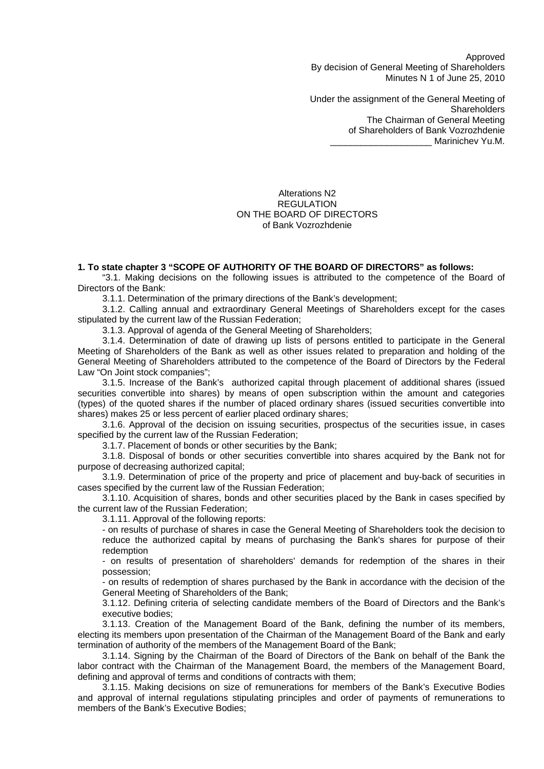Approved By decision of General Meeting of Shareholders Minutes N 1 of June 25, 2010

Under the assignment of the General Meeting of **Shareholders** The Chairman of General Meeting of Shareholders of Bank Vozrozhdenie \_\_\_\_\_\_\_\_\_\_\_\_\_\_\_\_\_\_\_\_ Marinichev Yu.M.

Alterations N2 REGULATION ON THE BOARD OF DIRECTORS of Bank Vozrozhdenie

### **1. To state chapter 3 "SCOPE OF AUTHORITY OF THE BOARD OF DIRECTORS" as follows:**

"3.1. Making decisions on the following issues is attributed to the competence of the Board of Directors of the Bank:

3.1.1. Determination of the primary directions of the Bank's development;

3.1.2. Calling annual and extraordinary General Meetings of Shareholders except for the cases stipulated by the current law of the Russian Federation;

3.1.3. Approval of agenda of the General Meeting of Shareholders;

3.1.4. Determination of date of drawing up lists of persons entitled to participate in the General Meeting of Shareholders of the Bank as well as other issues related to preparation and holding of the General Meeting of Shareholders attributed to the competence of the Board of Directors by the Federal Law "On Joint stock companies";

3.1.5. Increase of the Bank's authorized capital through placement of additional shares (issued securities convertible into shares) by means of open subscription within the amount and categories (types) of the quoted shares if the number of placed ordinary shares (issued securities convertible into shares) makes 25 or less percent of earlier placed ordinary shares;

3.1.6. Approval of the decision on issuing securities, prospectus of the securities issue, in cases specified by the current law of the Russian Federation;

3.1.7. Placement of bonds or other securities by the Bank;

3.1.8. Disposal of bonds or other securities convertible into shares acquired by the Bank not for purpose of decreasing authorized capital;

3.1.9. Determination of price of the property and price of placement and buy-back of securities in cases specified by the current law of the Russian Federation;

3.1.10. Acquisition of shares, bonds and other securities placed by the Bank in cases specified by the current law of the Russian Federation;

3.1.11. Approval of the following reports:

- on results of purchase of shares in case the General Meeting of Shareholders took the decision to reduce the authorized capital by means of purchasing the Bank's shares for purpose of their redemption

- on results of presentation of shareholders' demands for redemption of the shares in their possession;

- on results of redemption of shares purchased by the Bank in accordance with the decision of the General Meeting of Shareholders of the Bank;

3.1.12. Defining criteria of selecting candidate members of the Board of Directors and the Bank's executive bodies;

3.1.13. Creation of the Management Board of the Bank, defining the number of its members, electing its members upon presentation of the Chairman of the Management Board of the Bank and early termination of authority of the members of the Management Board of the Bank;

3.1.14. Signing by the Chairman of the Board of Directors of the Bank on behalf of the Bank the labor contract with the Chairman of the Management Board, the members of the Management Board, defining and approval of terms and conditions of contracts with them;

3.1.15. Making decisions on size of remunerations for members of the Bank's Executive Bodies and approval of internal regulations stipulating principles and order of payments of remunerations to members of the Bank's Executive Bodies;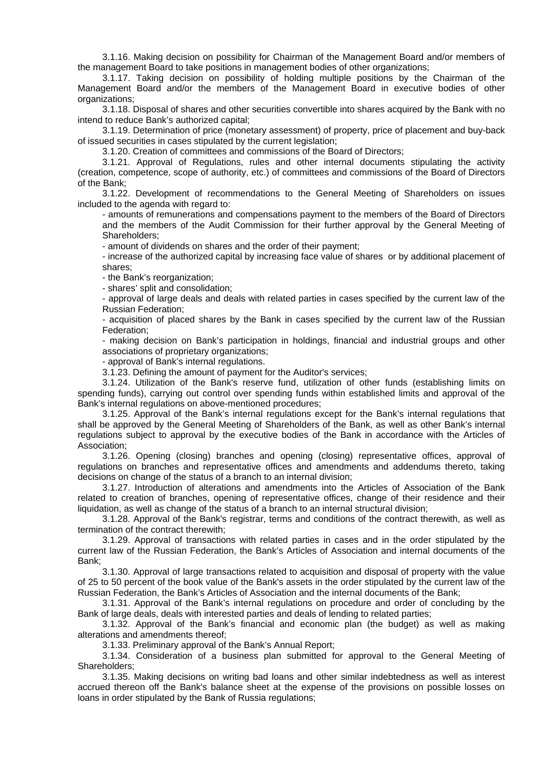3.1.16. Making decision on possibility for Chairman of the Management Board and/or members of the management Board to take positions in management bodies of other organizations;

3.1.17. Taking decision on possibility of holding multiple positions by the Chairman of the Management Board and/or the members of the Management Board in executive bodies of other organizations;

3.1.18. Disposal of shares and other securities convertible into shares acquired by the Bank with no intend to reduce Bank's authorized capital;

3.1.19. Determination of price (monetary assessment) of property, price of placement and buy-back of issued securities in cases stipulated by the current legislation;

3.1.20. Creation of committees and commissions of the Board of Directors;

3.1.21. Approval of Regulations, rules and other internal documents stipulating the activity (creation, competence, scope of authority, etc.) of committees and commissions of the Board of Directors of the Bank;

3.1.22. Development of recommendations to the General Meeting of Shareholders on issues included to the agenda with regard to:

- amounts of remunerations and compensations payment to the members of the Board of Directors and the members of the Audit Commission for their further approval by the General Meeting of Shareholders;

- amount of dividends on shares and the order of their payment;

- increase of the authorized capital by increasing face value of shares or by additional placement of shares;

- the Bank's reorganization;

- shares' split and consolidation;

- approval of large deals and deals with related parties in cases specified by the current law of the Russian Federation;

- acquisition of placed shares by the Bank in cases specified by the current law of the Russian Federation;

- making decision on Bank's participation in holdings, financial and industrial groups and other associations of proprietary organizations;

- approval of Bank's internal regulations.

3.1.23. Defining the amount of payment for the Auditor's services;

3.1.24. Utilization of the Bank's reserve fund, utilization of other funds (establishing limits on spending funds), carrying out control over spending funds within established limits and approval of the Bank's internal regulations on above-mentioned procedures;

3.1.25. Approval of the Bank's internal regulations except for the Bank's internal regulations that shall be approved by the General Meeting of Shareholders of the Bank, as well as other Bank's internal regulations subject to approval by the executive bodies of the Bank in accordance with the Articles of Association;

3.1.26. Opening (closing) branches and opening (closing) representative offices, approval of regulations on branches and representative offices and amendments and addendums thereto, taking decisions on change of the status of a branch to an internal division;

3.1.27. Introduction of alterations and amendments into the Articles of Association of the Bank related to creation of branches, opening of representative offices, change of their residence and their liquidation, as well as change of the status of a branch to an internal structural division;

3.1.28. Approval of the Bank's registrar, terms and conditions of the contract therewith, as well as termination of the contract therewith;

3.1.29. Approval of transactions with related parties in cases and in the order stipulated by the current law of the Russian Federation, the Bank's Articles of Association and internal documents of the Bank;

3.1.30. Approval of large transactions related to acquisition and disposal of property with the value of 25 to 50 percent of the book value of the Bank's assets in the order stipulated by the current law of the Russian Federation, the Bank's Articles of Association and the internal documents of the Bank;

3.1.31. Approval of the Bank's internal regulations on procedure and order of concluding by the Bank of large deals, deals with interested parties and deals of lending to related parties;

3.1.32. Approval of the Bank's financial and economic plan (the budget) as well as making alterations and amendments thereof;

3.1.33. Preliminary approval of the Bank's Annual Report;

3.1.34. Consideration of a business plan submitted for approval to the General Meeting of Shareholders;

3.1.35. Making decisions on writing bad loans and other similar indebtedness as well as interest accrued thereon off the Bank's balance sheet at the expense of the provisions on possible losses on loans in order stipulated by the Bank of Russia regulations;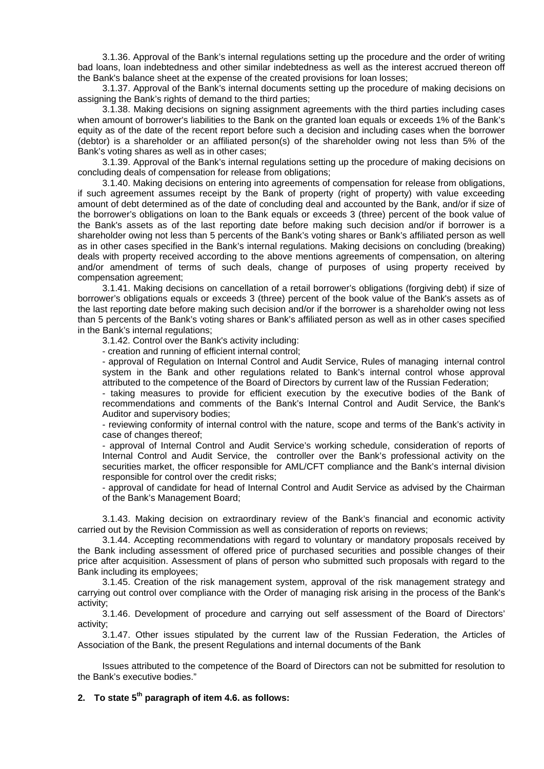3.1.36. Approval of the Bank's internal regulations setting up the procedure and the order of writing bad loans, loan indebtedness and other similar indebtedness as well as the interest accrued thereon off the Bank's balance sheet at the expense of the created provisions for loan losses;

3.1.37. Approval of the Bank's internal documents setting up the procedure of making decisions on assigning the Bank's rights of demand to the third parties:

3.1.38. Making decisions on signing assignment agreements with the third parties including cases when amount of borrower's liabilities to the Bank on the granted loan equals or exceeds 1% of the Bank's equity as of the date of the recent report before such a decision and including cases when the borrower (debtor) is a shareholder or an affiliated person(s) of the shareholder owing not less than 5% of the Bank's voting shares as well as in other cases;

3.1.39. Approval of the Bank's internal regulations setting up the procedure of making decisions on concluding deals of compensation for release from obligations;

3.1.40. Making decisions on entering into agreements of compensation for release from obligations, if such agreement assumes receipt by the Bank of property (right of property) with value exceeding amount of debt determined as of the date of concluding deal and accounted by the Bank, and/or if size of the borrower's obligations on loan to the Bank equals or exceeds 3 (three) percent of the book value of the Bank's assets as of the last reporting date before making such decision and/or if borrower is a shareholder owing not less than 5 percents of the Bank's voting shares or Bank's affiliated person as well as in other cases specified in the Bank's internal regulations. Making decisions on concluding (breaking) deals with property received according to the above mentions agreements of compensation, on altering and/or amendment of terms of such deals, change of purposes of using property received by compensation agreement;

3.1.41. Making decisions on cancellation of a retail borrower's obligations (forgiving debt) if size of borrower's obligations equals or exceeds 3 (three) percent of the book value of the Bank's assets as of the last reporting date before making such decision and/or if the borrower is a shareholder owing not less than 5 percents of the Bank's voting shares or Bank's affiliated person as well as in other cases specified in the Bank's internal regulations;

3.1.42. Control over the Bank's activity including:

- creation and running of efficient internal control;

- approval of Regulation on Internal Control and Audit Service, Rules of managing internal control system in the Bank and other regulations related to Bank's internal control whose approval attributed to the competence of the Board of Directors by current law of the Russian Federation;

- taking measures to provide for efficient execution by the executive bodies of the Bank of recommendations and comments of the Bank's Internal Control and Audit Service, the Bank's Auditor and supervisory bodies;

- reviewing conformity of internal control with the nature, scope and terms of the Bank's activity in case of changes thereof;

- approval of Internal Control and Audit Service's working schedule, consideration of reports of Internal Control and Audit Service, the controller over the Bank's professional activity on the securities market, the officer responsible for AML/CFT compliance and the Bank's internal division responsible for control over the credit risks;

- approval of candidate for head of Internal Control and Audit Service as advised by the Chairman of the Bank's Management Board;

3.1.43. Making decision on extraordinary review of the Bank's financial and economic activity carried out by the Revision Commission as well as consideration of reports on reviews;

3.1.44. Accepting recommendations with regard to voluntary or mandatory proposals received by the Bank including assessment of offered price of purchased securities and possible changes of their price after acquisition. Assessment of plans of person who submitted such proposals with regard to the Bank including its employees;

3.1.45. Creation of the risk management system, approval of the risk management strategy and carrying out control over compliance with the Order of managing risk arising in the process of the Bank's activity;

3.1.46. Development of procedure and carrying out self assessment of the Board of Directors' activity;

3.1.47. Other issues stipulated by the current law of the Russian Federation, the Articles of Association of the Bank, the present Regulations and internal documents of the Bank

Issues attributed to the competence of the Board of Directors can not be submitted for resolution to the Bank's executive bodies."

# **2. To state 5th paragraph of item 4.6. as follows:**